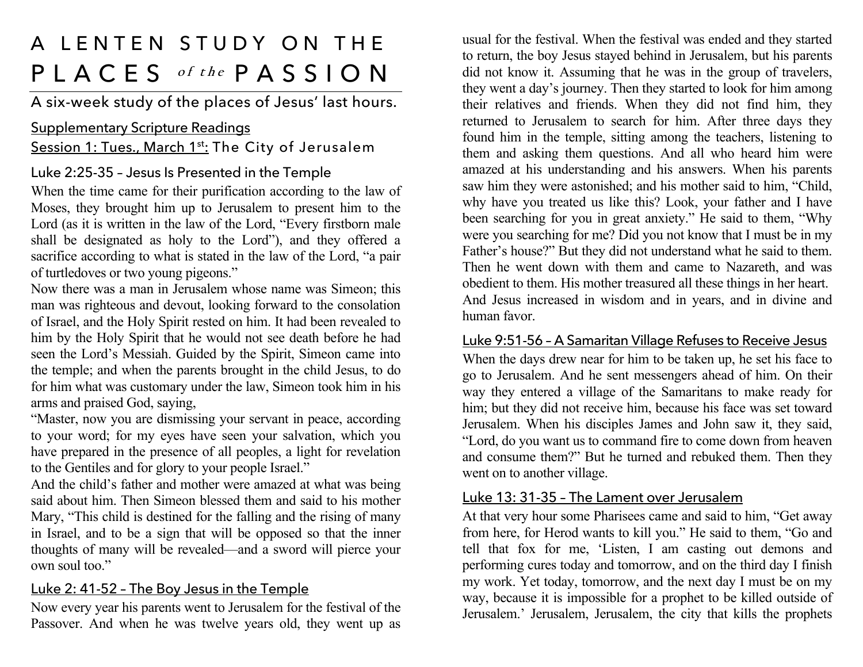# A LENTEN STUDY ON THE PLACES **of the** PASSION

A six-week study of the places of Jesus' last hours.

# Supplementary Scripture Readings

# Session 1: Tues., March 1<sup>st</sup>: The City of Jerusalem

# Luke 2:25-35 – Jesus Is Presented in the Temple

When the time came for their purification according to the law of Moses, they brought him up to Jerusalem to present him to the Lord (as it is written in the law of the Lord, "Every firstborn male shall be designated as holy to the Lord"), and they offered a sacrifice according to what is stated in the law of the Lord, "a pair of turtledoves or two young pigeons."

Now there was a man in Jerusalem whose name was Simeon; this man was righteous and devout, looking forward to the consolation of Israel, and the Holy Spirit rested on him. It had been revealed to him by the Holy Spirit that he would not see death before he had seen the Lord's Messiah. Guided by the Spirit, Simeon came into the temple; and when the parents brought in the child Jesus, to do for him what was customary under the law, Simeon took him in his arms and praised God, saying,

"Master, now you are dismissing your servant in peace, according to your word; for my eyes have seen your salvation, which you have prepared in the presence of all peoples, a light for revelation to the Gentiles and for glory to your people Israel."

And the child's father and mother were amazed at what was being said about him. Then Simeon blessed them and said to his mother Mary, "This child is destined for the falling and the rising of many in Israel, and to be a sign that will be opposed so that the inner thoughts of many will be revealed—and a sword will pierce your own soul too."

# Luke 2: 41-52 – The Boy Jesus in the Temple

Now every year his parents went to Jerusalem for the festival of the Passover. And when he was twelve years old, they went up as usual for the festival. When the festival was ended and they started to return, the boy Jesus stayed behind in Jerusalem, but his parents did not know it. Assuming that he was in the group of travelers, they went a day's journey. Then they started to look for him among their relatives and friends. When they did not find him, they returned to Jerusalem to search for him. After three days they found him in the temple, sitting among the teachers, listening to them and asking them questions. And all who heard him were amazed at his understanding and his answers. When his parents saw him they were astonished; and his mother said to him, "Child, why have you treated us like this? Look, your father and I have been searching for you in great anxiety." He said to them, "Why were you searching for me? Did you not know that I must be in my Father's house?" But they did not understand what he said to them. Then he went down with them and came to Nazareth, and was obedient to them. His mother treasured all these things in her heart. And Jesus increased in wisdom and in years, and in divine and human favor.

#### Luke 9:51-56 – A Samaritan Village Refuses to Receive Jesus

When the days drew near for him to be taken up, he set his face to go to Jerusalem. And he sent messengers ahead of him. On their way they entered a village of the Samaritans to make ready for him; but they did not receive him, because his face was set toward Jerusalem. When his disciples James and John saw it, they said, "Lord, do you want us to command fire to come down from heaven and consume them?" But he turned and rebuked them. Then they went on to another village.

### Luke 13: 31-35 – The Lament over Jerusalem

At that very hour some Pharisees came and said to him, "Get away from here, for Herod wants to kill you." He said to them, "Go and tell that fox for me, 'Listen, I am casting out demons and performing cures today and tomorrow, and on the third day I finish my work. Yet today, tomorrow, and the next day I must be on my way, because it is impossible for a prophet to be killed outside of Jerusalem.' Jerusalem, Jerusalem, the city that kills the prophets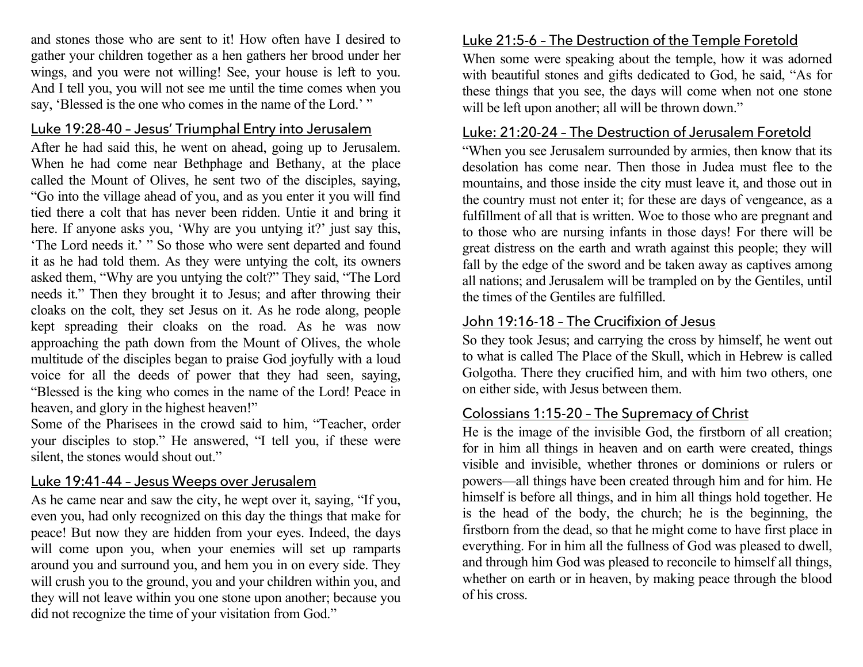and stones those who are sent to it! How often have I desired to gather your children together as a hen gathers her brood under her wings, and you were not willing! See, your house is left to you. And I tell you, you will not see me until the time comes when you say, 'Blessed is the one who comes in the name of the Lord.' "

### Luke 19:28-40 – Jesus' Triumphal Entry into Jerusalem

After he had said this, he went on ahead, going up to Jerusalem. When he had come near Bethphage and Bethany, at the place called the Mount of Olives, he sent two of the disciples, saying, "Go into the village ahead of you, and as you enter it you will find tied there a colt that has never been ridden. Untie it and bring it here. If anyone asks you, 'Why are you untying it?' just say this, 'The Lord needs it.' " So those who were sent departed and found it as he had told them. As they were untying the colt, its owners asked them, "Why are you untying the colt?" They said, "The Lord needs it." Then they brought it to Jesus; and after throwing their cloaks on the colt, they set Jesus on it. As he rode along, people kept spreading their cloaks on the road. As he was now approaching the path down from the Mount of Olives, the whole multitude of the disciples began to praise God joyfully with a loud voice for all the deeds of power that they had seen, saying, "Blessed is the king who comes in the name of the Lord! Peace in heaven, and glory in the highest heaven!"

Some of the Pharisees in the crowd said to him, "Teacher, order your disciples to stop." He answered, "I tell you, if these were silent, the stones would shout out."

#### Luke 19:41-44 – Jesus Weeps over Jerusalem

As he came near and saw the city, he wept over it, saying, "If you, even you, had only recognized on this day the things that make for peace! But now they are hidden from your eyes. Indeed, the days will come upon you, when your enemies will set up ramparts around you and surround you, and hem you in on every side. They will crush you to the ground, you and your children within you, and they will not leave within you one stone upon another; because you did not recognize the time of your visitation from God."

# Luke 21:5-6 – The Destruction of the Temple Foretold

When some were speaking about the temple, how it was adorned with beautiful stones and gifts dedicated to God, he said, "As for these things that you see, the days will come when not one stone will be left upon another; all will be thrown down."

#### Luke: 21:20-24 – The Destruction of Jerusalem Foretold

"When you see Jerusalem surrounded by armies, then know that its desolation has come near. Then those in Judea must flee to the mountains, and those inside the city must leave it, and those out in the country must not enter it; for these are days of vengeance, as a fulfillment of all that is written. Woe to those who are pregnant and to those who are nursing infants in those days! For there will be great distress on the earth and wrath against this people; they will fall by the edge of the sword and be taken away as captives among all nations; and Jerusalem will be trampled on by the Gentiles, until the times of the Gentiles are fulfilled.

## John 19:16-18 - The Crucifixion of Jesus

So they took Jesus; and carrying the cross by himself, he went out to what is called The Place of the Skull, which in Hebrew is called Golgotha. There they crucified him, and with him two others, one on either side, with Jesus between them.

### Colossians 1:15-20 – The Supremacy of Christ

He is the image of the invisible God, the firstborn of all creation; for in him all things in heaven and on earth were created, things visible and invisible, whether thrones or dominions or rulers or powers—all things have been created through him and for him. He himself is before all things, and in him all things hold together. He is the head of the body, the church; he is the beginning, the firstborn from the dead, so that he might come to have first place in everything. For in him all the fullness of God was pleased to dwell, and through him God was pleased to reconcile to himself all things, whether on earth or in heaven, by making peace through the blood of his cross.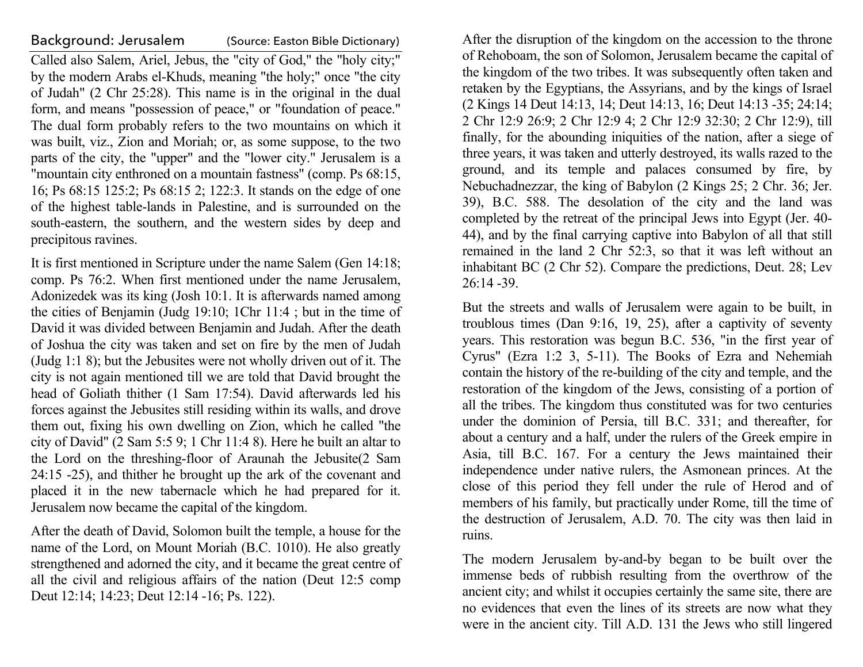Background: Jerusalem (Source: Easton Bible Dictionary)

Called also Salem, Ariel, Jebus, the "city of God," the "holy city;" by the modern Arabs el-Khuds, meaning "the holy;" once "the city of Judah" (2 Chr 25:28). This name is in the original in the dual form, and means "possession of peace," or "foundation of peace." The dual form probably refers to the two mountains on which it was built, viz., Zion and Moriah; or, as some suppose, to the two parts of the city, the "upper" and the "lower city." Jerusalem is a "mountain city enthroned on a mountain fastness" (comp. Ps 68:15, 16; Ps 68:15 125:2; Ps 68:15 2; 122:3. It stands on the edge of one of the highest table-lands in Palestine, and is surrounded on the south-eastern, the southern, and the western sides by deep and precipitous ravines.

It is first mentioned in Scripture under the name Salem (Gen 14:18; comp. Ps 76:2. When first mentioned under the name Jerusalem, Adonizedek was its king (Josh 10:1. It is afterwards named among the cities of Benjamin (Judg 19:10; 1Chr 11:4 ; but in the time of David it was divided between Benjamin and Judah. After the death of Joshua the city was taken and set on fire by the men of Judah (Judg 1:1 8); but the Jebusites were not wholly driven out of it. The city is not again mentioned till we are told that David brought the head of Goliath thither (1 Sam 17:54). David afterwards led his forces against the Jebusites still residing within its walls, and drove them out, fixing his own dwelling on Zion, which he called "the city of David" (2 Sam 5:5 9; 1 Chr 11:4 8). Here he built an altar to the Lord on the threshing-floor of Araunah the Jebusite(2 Sam 24:15 -25), and thither he brought up the ark of the covenant and placed it in the new tabernacle which he had prepared for it. Jerusalem now became the capital of the kingdom.

After the death of David, Solomon built the temple, a house for the name of the Lord, on Mount Moriah (B.C. 1010). He also greatly strengthened and adorned the city, and it became the great centre of all the civil and religious affairs of the nation (Deut 12:5 comp Deut 12:14; 14:23; Deut 12:14 -16; Ps. 122).

After the disruption of the kingdom on the accession to the throne of Rehoboam, the son of Solomon, Jerusalem became the capital of the kingdom of the two tribes. It was subsequently often taken and retaken by the Egyptians, the Assyrians, and by the kings of Israel (2 Kings 14 Deut 14:13, 14; Deut 14:13, 16; Deut 14:13 -35; 24:14; 2 Chr 12:9 26:9; 2 Chr 12:9 4; 2 Chr 12:9 32:30; 2 Chr 12:9), till finally, for the abounding iniquities of the nation, after a siege of three years, it was taken and utterly destroyed, its walls razed to the ground, and its temple and palaces consumed by fire, by Nebuchadnezzar, the king of Babylon (2 Kings 25; 2 Chr. 36; Jer. 39), B.C. 588. The desolation of the city and the land was completed by the retreat of the principal Jews into Egypt (Jer. 40- 44), and by the final carrying captive into Babylon of all that still remained in the land 2 Chr 52:3, so that it was left without an inhabitant BC (2 Chr 52). Compare the predictions, Deut. 28; Lev 26:14 -39.

But the streets and walls of Jerusalem were again to be built, in troublous times (Dan 9:16, 19, 25), after a captivity of seventy years. This restoration was begun B.C. 536, "in the first year of Cyrus" (Ezra 1:2 3, 5-11). The Books of Ezra and Nehemiah contain the history of the re-building of the city and temple, and the restoration of the kingdom of the Jews, consisting of a portion of all the tribes. The kingdom thus constituted was for two centuries under the dominion of Persia, till B.C. 331; and thereafter, for about a century and a half, under the rulers of the Greek empire in Asia, till B.C. 167. For a century the Jews maintained their independence under native rulers, the Asmonean princes. At the close of this period they fell under the rule of Herod and of members of his family, but practically under Rome, till the time of the destruction of Jerusalem, A.D. 70. The city was then laid in ruins.

The modern Jerusalem by-and-by began to be built over the immense beds of rubbish resulting from the overthrow of the ancient city; and whilst it occupies certainly the same site, there are no evidences that even the lines of its streets are now what they were in the ancient city. Till A.D. 131 the Jews who still lingered